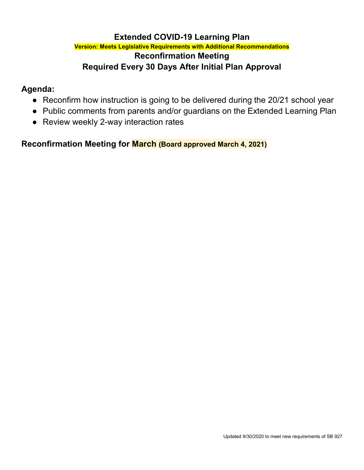# **Extended COVID-19 Learning Plan**

### **Version: Meets Legislative Requirements with Additional Recommendations Reconfirmation Meeting Required Every 30 Days After Initial Plan Approval**

# **Agenda:**

- Reconfirm how instruction is going to be delivered during the 20/21 school year
- Public comments from parents and/or guardians on the Extended Learning Plan
- Review weekly 2-way interaction rates

**Reconfirmation Meeting for March (Board approved March 4, 2021)**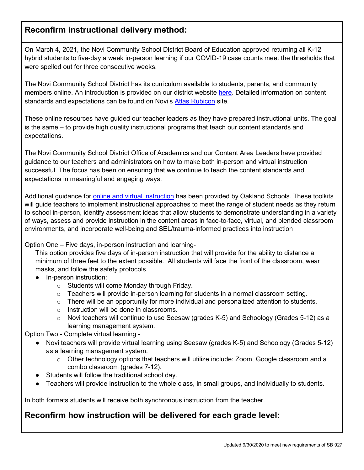# **Reconfirm instructional delivery method:**

On March 4, 2021, the Novi Community School District Board of Education approved returning all K-12 hybrid students to five-day a week in-person learning if our COVID-19 case counts meet the thresholds that were spelled out for three consecutive weeks.

The Novi Community School District has its curriculum available to students, parents, and community members online. An introduction is provided on our district website [here.](https://www.novi.k12.mi.us/academics/atlascurriculum-information) Detailed information on content standards and expectations can be found on Novi's [Atlas Rubicon](https://novik12-oakland-public.rubiconatlas.org/Atlas/Public/View/Default) site.

These online resources have guided our teacher leaders as they have prepared instructional units. The goal is the same – to provide high quality instructional programs that teach our content standards and expectations.

The Novi Community School District Office of Academics and our Content Area Leaders have provided guidance to our teachers and administrators on how to make both in-person and virtual instruction successful. The focus has been on ensuring that we continue to teach the content standards and expectations in meaningful and engaging ways.

Additional guidance for [online and virtual instruction](https://docs.google.com/document/d/1CtCqzVV6DceKhac3iWpMnEvUI9J6c3qDE0v61uO59Dk/edit) has been provided by Oakland Schools. These toolkits will guide teachers to implement instructional approaches to meet the range of student needs as they return to school in-person, identify assessment ideas that allow students to demonstrate understanding in a variety of ways, assess and provide instruction in the content areas in face-to-face, virtual, and blended classroom environments, and incorporate well-being and SEL/trauma-informed practices into instruction

#### Option One – Five days, in-person instruction and learning-

This option provides five days of in-person instruction that will provide for the ability to distance a minimum of three feet to the extent possible. All students will face the front of the classroom, wear masks, and follow the safety protocols.

- In-person instruction:
	- o Students will come Monday through Friday.
	- o Teachers will provide in-person learning for students in a normal classroom setting.
	- $\circ$  There will be an opportunity for more individual and personalized attention to students.
	- o Instruction will be done in classrooms.
	- $\circ$  Novi teachers will continue to use Seesaw (grades K-5) and Schoology (Grades 5-12) as a learning management system.

Option Two - Complete virtual learning -

- Novi teachers will provide virtual learning using Seesaw (grades K-5) and Schoology (Grades 5-12) as a learning management system.
	- o Other technology options that teachers will utilize include: Zoom, Google classroom and a combo classroom (grades 7-12).
- Students will follow the traditional school day.
- Teachers will provide instruction to the whole class, in small groups, and individually to students.

In both formats students will receive both synchronous instruction from the teacher.

# **Reconfirm how instruction will be delivered for each grade level:**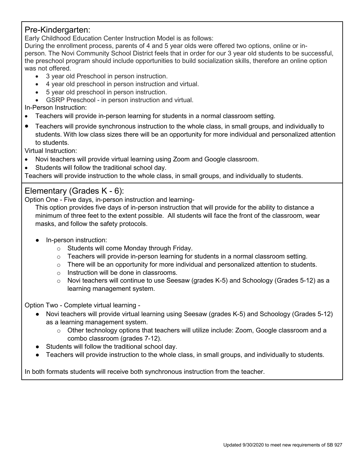#### Pre-Kindergarten:

Early Childhood Education Center Instruction Model is as follows:

During the enrollment process, parents of 4 and 5 year olds were offered two options, online or inperson. The Novi Community School District feels that in order for our 3 year old students to be successful, the preschool program should include opportunities to build socialization skills, therefore an online option was not offered.

- 3 year old Preschool in person instruction.
- 4 year old preschool in person instruction and virtual.
- 5 year old preschool in person instruction.
- GSRP Preschool in person instruction and virtual.

In-Person Instruction:

- Teachers will provide in-person learning for students in a normal classroom setting.
- Teachers will provide synchronous instruction to the whole class, in small groups, and individually to students. With low class sizes there will be an opportunity for more individual and personalized attention to students.

Virtual Instruction:

- Novi teachers will provide virtual learning using Zoom and Google classroom.
- Students will follow the traditional school day.

Teachers will provide instruction to the whole class, in small groups, and individually to students.

### Elementary (Grades K - 6):

Option One - Five days, in-person instruction and learning-

This option provides five days of in-person instruction that will provide for the ability to distance a minimum of three feet to the extent possible. All students will face the front of the classroom, wear masks, and follow the safety protocols.

- In-person instruction:
	- o Students will come Monday through Friday.
	- $\circ$  Teachers will provide in-person learning for students in a normal classroom setting.
	- $\circ$  There will be an opportunity for more individual and personalized attention to students.
	- o Instruction will be done in classrooms.
	- $\circ$  Novi teachers will continue to use Seesaw (grades K-5) and Schoology (Grades 5-12) as a learning management system.

Option Two - Complete virtual learning -

- Novi teachers will provide virtual learning using Seesaw (grades K-5) and Schoology (Grades 5-12) as a learning management system.
	- $\circ$  Other technology options that teachers will utilize include: Zoom, Google classroom and a combo classroom (grades 7-12).
- Students will follow the traditional school day.
- Teachers will provide instruction to the whole class, in small groups, and individually to students.

In both formats students will receive both synchronous instruction from the teacher.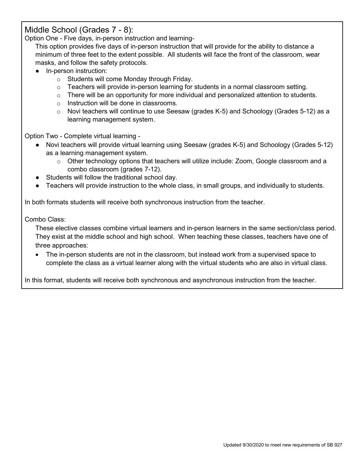### Middle School (Grades 7 - 8):

Option One - Five days, in-person instruction and learning-

This option provides five days of in-person instruction that will provide for the ability to distance a minimum of three feet to the extent possible. All students will face the front of the classroom, wear masks, and follow the safety protocols.

- In-person instruction:
	- o Students will come Monday through Friday.
	- $\circ$  Teachers will provide in-person learning for students in a normal classroom setting.
	- $\circ$  There will be an opportunity for more individual and personalized attention to students.
	- o Instruction will be done in classrooms.
	- $\circ$  Novi teachers will continue to use Seesaw (grades K-5) and Schoology (Grades 5-12) as a learning management system.

Option Two - Complete virtual learning -

- Novi teachers will provide virtual learning using Seesaw (grades K-5) and Schoology (Grades 5-12) as a learning management system.
	- $\circ$  Other technology options that teachers will utilize include: Zoom, Google classroom and a combo classroom (grades 7-12).
- Students will follow the traditional school day.
- Teachers will provide instruction to the whole class, in small groups, and individually to students.

In both formats students will receive both synchronous instruction from the teacher.

Combo Class:

These elective classes combine virtual learners and in-person learners in the same section/class period. They exist at the middle school and high school. When teaching these classes, teachers have one of three approaches:

• The in-person students are not in the classroom, but instead work from a supervised space to complete the class as a virtual learner along with the virtual students who are also in virtual class.

In this format, students will receive both synchronous and asynchronous instruction from the teacher.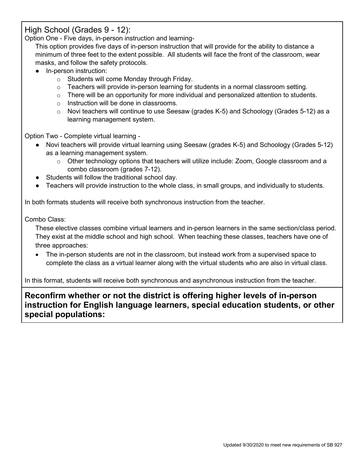## High School (Grades 9 - 12):

Option One - Five days, in-person instruction and learning-

This option provides five days of in-person instruction that will provide for the ability to distance a minimum of three feet to the extent possible. All students will face the front of the classroom, wear masks, and follow the safety protocols.

- In-person instruction:
	- o Students will come Monday through Friday.
	- $\circ$  Teachers will provide in-person learning for students in a normal classroom setting.
	- $\circ$  There will be an opportunity for more individual and personalized attention to students.
	- o Instruction will be done in classrooms.
	- $\circ$  Novi teachers will continue to use Seesaw (grades K-5) and Schoology (Grades 5-12) as a learning management system.

Option Two - Complete virtual learning -

- Novi teachers will provide virtual learning using Seesaw (grades K-5) and Schoology (Grades 5-12) as a learning management system.
	- $\circ$  Other technology options that teachers will utilize include: Zoom, Google classroom and a combo classroom (grades 7-12).
- Students will follow the traditional school day.
- Teachers will provide instruction to the whole class, in small groups, and individually to students.

In both formats students will receive both synchronous instruction from the teacher.

Combo Class:

These elective classes combine virtual learners and in-person learners in the same section/class period. They exist at the middle school and high school. When teaching these classes, teachers have one of three approaches:

• The in-person students are not in the classroom, but instead work from a supervised space to complete the class as a virtual learner along with the virtual students who are also in virtual class.

In this format, students will receive both synchronous and asynchronous instruction from the teacher.

**Reconfirm whether or not the district is offering higher levels of in-person instruction for English language learners, special education students, or other special populations:**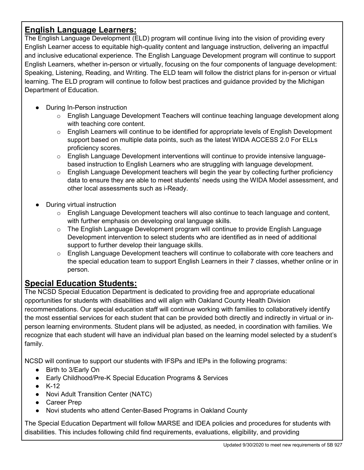# **English Language Learners:**

The English Language Development (ELD) program will continue living into the vision of providing every English Learner access to equitable high-quality content and language instruction, delivering an impactful and inclusive educational experience. The English Language Development program will continue to support English Learners, whether in-person or virtually, focusing on the four components of language development: Speaking, Listening, Reading, and Writing. The ELD team will follow the district plans for in-person or virtual learning. The ELD program will continue to follow best practices and guidance provided by the Michigan Department of Education.

- During In-Person instruction
	- $\circ$  English Language Development Teachers will continue teaching language development along with teaching core content.
	- $\circ$  English Learners will continue to be identified for appropriate levels of English Development support based on multiple data points, such as the latest WIDA ACCESS 2.0 For ELLs proficiency scores.
	- $\circ$  English Language Development interventions will continue to provide intensive languagebased instruction to English Learners who are struggling with language development.
	- $\circ$  English Language Development teachers will begin the year by collecting further proficiency data to ensure they are able to meet students' needs using the WIDA Model assessment, and other local assessments such as i-Ready.
- During virtual instruction
	- $\circ$  English Language Development teachers will also continue to teach language and content, with further emphasis on developing oral language skills.
	- $\circ$  The English Language Development program will continue to provide English Language Development intervention to select students who are identified as in need of additional support to further develop their language skills.
	- $\circ$  English Language Development teachers will continue to collaborate with core teachers and the special education team to support English Learners in their 7 classes, whether online or in person.

# **Special Education Students:**

The NCSD Special Education Department is dedicated to providing free and appropriate educational opportunities for students with disabilities and will align with Oakland County Health Division recommendations. Our special education staff will continue working with families to collaboratively identify the most essential services for each student that can be provided both directly and indirectly in virtual or inperson learning environments. Student plans will be adjusted, as needed, in coordination with families. We recognize that each student will have an individual plan based on the learning model selected by a student's family.

NCSD will continue to support our students with IFSPs and IEPs in the following programs:

- Birth to 3/Early On
- Early Childhood/Pre-K Special Education Programs & Services
- $\bullet$  K-12
- Novi Adult Transition Center (NATC)
- Career Prep
- Novi students who attend Center-Based Programs in Oakland County

The Special Education Department will follow MARSE and IDEA policies and procedures for students with disabilities. This includes following child find requirements, evaluations, eligibility, and providing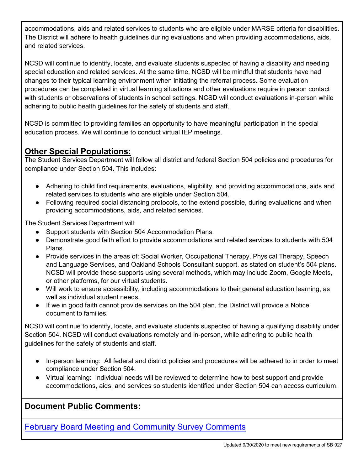accommodations, aids and related services to students who are eligible under MARSE criteria for disabilities. The District will adhere to health guidelines during evaluations and when providing accommodations, aids, and related services.

NCSD will continue to identify, locate, and evaluate students suspected of having a disability and needing special education and related services. At the same time, NCSD will be mindful that students have had changes to their typical learning environment when initiating the referral process. Some evaluation procedures can be completed in virtual learning situations and other evaluations require in person contact with students or observations of students in school settings. NCSD will conduct evaluations in-person while adhering to public health guidelines for the safety of students and staff.

NCSD is committed to providing families an opportunity to have meaningful participation in the special education process. We will continue to conduct virtual IEP meetings.

# **Other Special Populations:**

The Student Services Department will follow all district and federal Section 504 policies and procedures for compliance under Section 504. This includes:

- Adhering to child find requirements, evaluations, eligibility, and providing accommodations, aids and related services to students who are eligible under Section 504.
- Following required social distancing protocols, to the extend possible, during evaluations and when providing accommodations, aids, and related services.

The Student Services Department will:

- Support students with Section 504 Accommodation Plans.
- Demonstrate good faith effort to provide accommodations and related services to students with 504 Plans.
- Provide services in the areas of: Social Worker, Occupational Therapy, Physical Therapy, Speech and Language Services, and Oakland Schools Consultant support, as stated on student's 504 plans. NCSD will provide these supports using several methods, which may include Zoom, Google Meets, or other platforms, for our virtual students.
- Will work to ensure accessibility, including accommodations to their general education learning, as well as individual student needs.
- If we in good faith cannot provide services on the 504 plan, the District will provide a Notice document to families.

NCSD will continue to identify, locate, and evaluate students suspected of having a qualifying disability under Section 504. NCSD will conduct evaluations remotely and in-person, while adhering to public health guidelines for the safety of students and staff.

- In-person learning: All federal and district policies and procedures will be adhered to in order to meet compliance under Section 504.
- Virtual learning: Individual needs will be reviewed to determine how to best support and provide accommodations, aids, and services so students identified under Section 504 can access curriculum.

# **Document Public Comments:**

February [Board Meeting and Community Survey Comments](https://resources.finalsite.net/images/v1614959069/novik12mius/yeqnorx7blsmzroyiwpk/BoardofEducationPublicCommentRequestResponsesofFebruary.pdf)